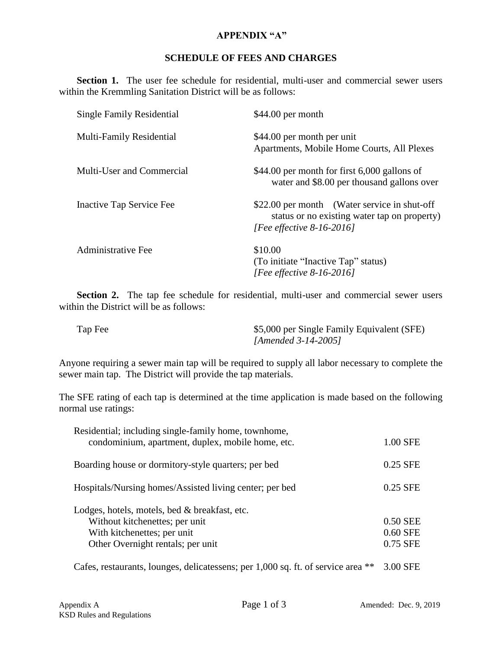## **APPENDIX "A"**

## **SCHEDULE OF FEES AND CHARGES**

Section 1. The user fee schedule for residential, multi-user and commercial sewer users within the Kremmling Sanitation District will be as follows:

| <b>Single Family Residential</b> | $$44.00$ per month                                                                                                           |
|----------------------------------|------------------------------------------------------------------------------------------------------------------------------|
| <b>Multi-Family Residential</b>  | \$44.00 per month per unit<br>Apartments, Mobile Home Courts, All Plexes                                                     |
| Multi-User and Commercial        | $$44.00$ per month for first 6,000 gallons of<br>water and \$8.00 per thousand gallons over                                  |
| Inactive Tap Service Fee         | \$22.00 per month (Water service in shut-off<br>status or no existing water tap on property)<br>[Fee effective $8-16-2016$ ] |
| <b>Administrative Fee</b>        | \$10.00<br>(To initiate "Inactive Tap" status)<br>[Fee effective 8-16-2016]                                                  |

Section 2. The tap fee schedule for residential, multi-user and commercial sewer users within the District will be as follows:

| Tap Fee | \$5,000 per Single Family Equivalent (SFE) |
|---------|--------------------------------------------|
|         | [Amended $3-14-2005$ ]                     |

Anyone requiring a sewer main tap will be required to supply all labor necessary to complete the sewer main tap. The District will provide the tap materials.

The SFE rating of each tap is determined at the time application is made based on the following normal use ratings:

| Residential; including single-family home, townhome,<br>condominium, apartment, duplex, mobile home, etc.                                           | 1.00 SFE                         |
|-----------------------------------------------------------------------------------------------------------------------------------------------------|----------------------------------|
| Boarding house or dormitory-style quarters; per bed                                                                                                 | $0.25$ SFE                       |
| Hospitals/Nursing homes/Assisted living center; per bed                                                                                             | 0.25 SFE                         |
| Lodges, hotels, motels, bed & breakfast, etc.<br>Without kitchenettes; per unit<br>With kitchenettes; per unit<br>Other Overnight rentals; per unit | 0.50 SEE<br>0.60 SFE<br>0.75 SFE |

Cafes, restaurants, lounges, delicatessens; per 1,000 sq. ft. of service area \*\* 3.00 SFE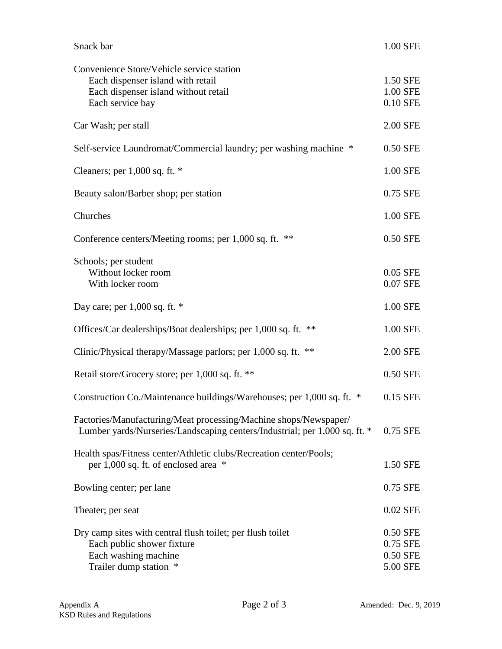| Snack bar                                                                                                                                      | 1.00 SFE                                     |
|------------------------------------------------------------------------------------------------------------------------------------------------|----------------------------------------------|
| Convenience Store/Vehicle service station<br>Each dispenser island with retail<br>Each dispenser island without retail<br>Each service bay     | 1.50 SFE<br>1.00 SFE<br>0.10 SFE             |
| Car Wash; per stall                                                                                                                            | 2.00 SFE                                     |
| Self-service Laundromat/Commercial laundry; per washing machine *                                                                              | 0.50 SFE                                     |
| Cleaners; per $1,000$ sq. ft. $*$                                                                                                              | 1.00 SFE                                     |
| Beauty salon/Barber shop; per station                                                                                                          | 0.75 SFE                                     |
| Churches                                                                                                                                       | 1.00 SFE                                     |
| Conference centers/Meeting rooms; per 1,000 sq. ft. **                                                                                         | 0.50 SFE                                     |
| Schools; per student<br>Without locker room<br>With locker room                                                                                | 0.05 SFE<br>0.07 SFE                         |
| Day care; per $1,000$ sq. ft. $*$                                                                                                              | 1.00 SFE                                     |
| Offices/Car dealerships/Boat dealerships; per 1,000 sq. ft.<br>**                                                                              | 1.00 SFE                                     |
| Clinic/Physical therapy/Massage parlors; per 1,000 sq. ft. **                                                                                  | 2.00 SFE                                     |
| Retail store/Grocery store; per 1,000 sq. ft. **                                                                                               | 0.50 SFE                                     |
| Construction Co./Maintenance buildings/Warehouses; per 1,000 sq. ft. *                                                                         | 0.15 SFE                                     |
| Factories/Manufacturing/Meat processing/Machine shops/Newspaper/<br>Lumber yards/Nurseries/Landscaping centers/Industrial; per 1,000 sq. ft. * | 0.75 SFE                                     |
| Health spas/Fitness center/Athletic clubs/Recreation center/Pools;<br>per 1,000 sq. ft. of enclosed area *                                     | 1.50 SFE                                     |
| Bowling center; per lane                                                                                                                       | 0.75 SFE                                     |
| Theater; per seat                                                                                                                              | 0.02 SFE                                     |
| Dry camp sites with central flush toilet; per flush toilet<br>Each public shower fixture<br>Each washing machine<br>Trailer dump station *     | 0.50 SFE<br>0.75 SFE<br>0.50 SFE<br>5.00 SFE |